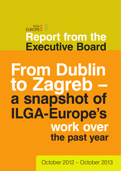#### EUROPE **Report from the Executive Board**

### **work over the past year From Dublin to Zagreb – a snapshot of ILGA-Europe's**

October 2012 – October 2013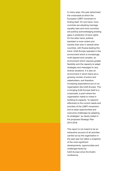In many ways, this year epitomised the crossroads at which the European LGBTI movement is finding itself. On one hand, more countries are adopting marriage equality laws and more countries are publicly acknowledging existing gaps in protection of trans rights. On the other hand, political backlash is more violent and harsher than ever in several other countries, with Russia leading this trend. ILGA-Europe operates in this environment which is increasingly multi-layered and complex, an environment which requires greater flexibility and the capacity to adapt strategies and messages to very diverse situations. It is also an environment in which there are a growing number of actors and stakeholders, and therefore increasing expectations put on an organisation like ILGA-Europe. This is bringing ILGA-Europe itself to a crossroads, a point where the organisation needs to invest in building its capacity "to respond effectively to the current needs and priorities of the LGBTI movement, and to seize opportunities and overcome challenges by adapting its strategies" as clearly stated in the proposed Strategic Plan 2014-2018.

This report is not meant to be an exhaustive account of all activities carried out by the organisation in the past year but rather a snapshot of the most significant developments, opportunities and challenges faced by ILGA-Europe since the Dublin conference.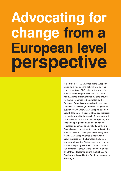# **Advocating for change from a European level perspective**

A clear goal for ILGA-Europe at the European Union level has been to get stronger political commitment on LGBTI rights in the form of a specific EU strategy or Roadmap on LGBTI rights. A large effort went into building ground for such a Roadmap to be adopted by the European Commission, including by working directly with national governments to gain their support for EU action. ILGA-Europe's call for a LGBTI Roadmap – similar to strategies that exist on gender equality, for equality for persons with disabilities and Roma – is seen as a priority at a time when progress on anti-discrimination legislation continues to be stalled and the EU Commission's commitment to responding to the specific needs of LGBTI people wavering. This is why ILGA-Europe worked closely with the LGBT Intergroup of the European Parliament and several Member States towards rallying our voices to explicitly ask the EU Commissioner for Fundamental Rights, Viviane Reding, to adopt an EU LGBT Roadmap during the first IDAHO Conference, hosted by the Dutch government in The Hague.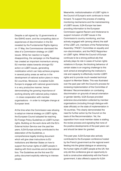Despite a call signed by 12 governments at the IDAHO event, and the compelling data on experiences of discrimination in the EU revealed by the Fundamental Rights Agency on 17 May, the Commissioner dismissed the idea of a Commission strategy on LGBT issues. While her reaction is hugely disappointing, the campaign on the Roadmap has created an important momentum among EU member states towards stronger EU action on LGBTI issues, generating mobilization which can help achieve progress in several policy areas as well as in the development of national action plans in many EU countries. Moreover, it enabled ILGA-Europe to engage with national governments in a very productive manner, hence demonstrating the growing importance of working directly with national policy-makers – in close cooperation with member organisations – in order to instigate change at European level.

At the time when the Commission was refusing to adopt an internal strategy on LGBTI rights, the European Council adopted far-reaching EU Foreign Policy Guidelines on LGBTI human rights. Building on the work done with the EU's External Action Service over the past few years, ILGA-Europe actively contributed to the elaboration of the Guidelines, a comprehensive legally binding document which will give clear instructions to EU institutions and Member States on how to support the human rights of LGBTI people in dealing with third countries and at international fora. The Guidelines are the first ever EU policy document explicitly referring to intersex people.

Meanwhile, institutionalisation of LGBT rights in the Council of Europe's work continues to move forward. To support the process of creating monitoring mechanisms and the mainstreaming of LGBTI issues, ILGA-Europe has been providing information to the European Commission against Racism and Intolerance to support inclusion of LGBT issues in the Commission's country monitoring, and has actively engaged with (among others) the staff of the LGBT unit, members of the Parliamentary Assembly ("PACE") Committee on equality and non-discrimination, and the PACE Rapporteur on LGBT rights. Whilst the Council of Europe continues to be a strong political ally that actively plays its role in cases of human rights violations in Europe, the blocking behaviour of certain states is an ongoing challenge to this work aimed at strengthening the institution's role and capacity to effectively monitor LGBTI rights and to provide much-needed technical support to Member States. This was illustrated over the past year with the Council's process for reviewing implementation of the Committee of Ministers' Recommendation on combating discrimination on grounds of sexual orientation or gender identity. ILGA-Europe provided extensive documentation collected by member organisations (including through dialogue with state officials) on the state of implementation in 16 countries. This clearly demonstrated the need for further action by the Council on the basis of the Recommendation. Yet, the opposition from vocal member states is stalling the review process and signaling that none of the positive developments of the past years can and should be taken for granted.

This past year, ILGA-Europe also actively contributed to the European conference hosted by the French government as the regional event feeding into the global dialogue on advancing the human rights of LGBTI people at the UN. Not only did this conference give an opportunity to build a constructive relationship with the French government, it also offered a space for ILGA-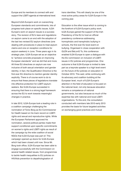Europe and its members to connect with and support the LGBTI agenda at international level.

Beyond ILGA-Europe's work on overarching European standards and commitments, lots of progress took place on specific issues. ILGA-Europe's work on asylum issues is a success story. The revision of EU's laws and regulations on asylum came to an end with the adoption of the last two revised EU asylum directives (one dealing with procedures in place to treat asylum claims and one on reception conditions for asylum-seekers) in June. Three years ago in its strategic plan, ILGA-Europe set as an objective to "achieve concrete proposals on improving European standards" and we did that and more. All three EU directives on asylum are now inclusive of both sexual orientation and gender identity; in fact, the Qualification Directive is the first ever EU directive to mention gender identity explicitly. There is of course work to do to ensure that these pieces of legislations translate into effective protection for LGBTI asylumseekers. But ILGA-Europe succeeded in ensuring that there is a strong legal framework across the EU to work towards meaningful changes in practice.

In late 2012, ILGA-Europe took a leading role in a coalition campaign challenging the nomination of Tonio Borg as EU Commissioner for Health based on his track record on LGBTI rights and sexual and reproductive rights. While the European Parliament approved his nomination, several political parties made their support conditional upon specific commitments on women's rights and LGBTI rights as result of the campaign by the wide coalition of social NGOs that ILGA-Europe was part of. This campaign opened up doors for ILGA-Europe which had been closed until now. Since Mr. Borg took office, ILGA-Europe has been able to engage successfully with the Commission on several health-related issues, from programmes to tackle health inequalities to EU policies on HIV/Aids prevention to depathologisation of

trans identities. This will clearly be one of the most active policy areas for ILGA-Europe in the coming year.

Education is the other issue which is coming to the forefront of ILGA-Europe's policy work. ILGA-Europe gained the support of the Irish Presidency of the EU to host an official presidency conference addressing homophobic and transphobic bullying in schools, the first ever EU level event on bullying. Organised in close cooperation with GLEN and BeLonG To, this conference enabled ILGA-Europe to open a dialogue with the EU commission on inclusion of LGBTI issues in EU policies and programmes. One outcome is that ILGA-Europe is invited to take part as a keynote speaker to a high level event on the future of EU policies on education in October 2013. This said, while continuing with its advocacy and coalition building at the European level, much of ILGA-Europe's attention in the field of education is focused on the national level, not only because education remains a competence of national governments, but also because so much of the expertise lies with national and local LGBTI organisations. To this end, the consultation conducted with members late 2012-early 2013 provides the basis for future targeted activities on exchanging good practices and mutual

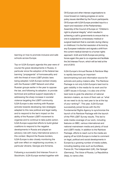learning on how to promote inclusive and safe schools across Europe.

Top on ILGA-Europe's agenda this year were of course the grave developments in Russia, in particular since the adoption of the federal law banning "propaganda" of homosexuality and with the threat of more LGBT-phobic laws being adopted. ILGA-Europe worked closely with the Russian LGBT Network and other Russian groups earlier in the year to oppose the law, and following its adoption, to provide technical and political support especially in addressing the sharp increase in societal violence targeting the LGBTI community. ILGA-Europe is also working with Russian activists towards developing new strategies adapted to this new political and legal reality, and to respond to the law's impact on the ability of the Russian LGBTI movement to organise and to continue to take public action. ILGA-Europe supported efforts to build global coalitions to respond to the negative developments in Russia and played an advisory role with many international actors in this context. Beyond the Russia borders, ILGA-Europe is also closely monitoring the spill-over effect on neighboring countries, in particular Ukraine, Georgia and Armenia.

Following a successful 2nd Intersex Forum in Stockholm, ILGA-Europe worked together with

OII Europe and other intersex organisations to move forward on making progress on some policy issues identified by the Forum participants. OII Europe with ILGA-Europe provided input to a report and resolution of the Parliamentary Assembly of the Council of Europe on "Children's right to physical integrity" which resulted in achieving a call to governments to ensure that no one is subjected to unnecessary medical or surgical treatment that is cosmetic during infancy or childhood. It is the first resolution of its kind by any European institution and signals a shift from the current medical domain to a human rights approach. ILGA and ILGA-Europe are joining forces again this year to co-organise and facilitate the 3rd Intersex Forum, which will be held at the end of 2013.

ILGA-Europe's Annual Review & Rainbow Map is rapidly becoming an important benchmarking tool and information source for activists and policy-makers alike. The Rainbow Package is not only ILGA-Europe's best tool to gain visibility in the media for its work and for LGBTI issues in Europe, it is also one of the best tools to grab the attention of national decision-makers, as more of them ask us "what do we need to do by next year to be at the top of your ranking?". This year, ILGA-Europe successfully joined forces with the EU Fundamental Rights Agency to synchronize the launch of its Rainbow Package with the launch of the FRA LGBT Survey results. This led to wide media coverage of our work, including features on BBC, various international and national mainstream media and plenty of local and LGBTI media. In addition to the Rainbow Package, efforts to reach out to the media are paying off as ILGA-Europe is invited to comment on legal, political and social developments in Europe by a growing number of media outlets, including leading ones such as EuroNews, France 24, The Independent (UK), Der Spiegel (Germany), The Voice of Russia, La Repubblica (Italy), to name a few.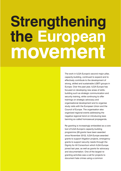## **Strengthening the European movement**

The work in ILGA-Europe's second major pillar, capacity-building, continued to expand and to effectively contribute to the development of strong, skilled and sustainable LGBTI groups in Europe. Over the past year, ILGA-Europe has focused on developing new areas of skillsbuilding such as strategic communication and security training, while continuing to offer trainings on strategic advocacy and organisational development and to organise study visits with the European Union and the Council of Europe. The organisation also organized regional events addressing the negative regional trend on introducing laws banning so-called homosexual propaganda.

Re-granting is increasingly embedded as a core tool of ILGA-Europe's capacity-building programme (28 grants have been awarded since November 2012). ILGA-Europe awarded grants to support litigation projects, emergency grants to support security needs through the Dignity for All Consortium which ILGA-Europe joined last year, as well as grants for advocacy and documentation. One of the largest regranting activities was a call for projects to document hate crimes using a common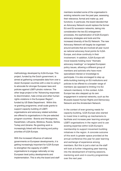methodology developed by ILGA-Europe. This project, funded by the Dutch government, is aimed at gathering comparable data from over a dozen European countries with a view to using it to advocate for stronger European laws and policies against LGBTI-phobic violence. The other large project is the "Advancing responses to discrimination, hate-crimes and other human rights violations in the European Region", funded by US State Department. Within this re-granting programme, small scale grants to support capacity building of LGBTI organisations and advocacy related activities are offered to organisations in the pre-selected program countries - Bosnia and Herzegovina, Kazakhstan, Lithuania, Moldova, Russia, Serbia, Turkey and Ukraine. Re-granting work is increasingly linked with the training and policy priorities of ILGA-Europe.

With the increased influence of national governments on European developments, it is getting increasingly important for ILGA-Europe to strengthen the capacity of LGBTI organisations to engage nationally on key European level policy developments and implementation. This is why the board and staff members revisited some of the organisation's existing networks over the past year, assessing their relevance, format and make-up, and functions. In particular, the board decided that an Advocacy Network would replace the former EU and EU accession networks, taking into consideration the two EU enlargement processes, the sophistication of ILGA-Europe's advocacy strategies and tools and the increased diversity of the EU Network. The new Advocacy Network will largely be organised around activists that are involved all year round as national advocacy focal points for ILGA-Europe, and show continuity in their involvement. In addition, ILGA-Europe will move towards holding more "thematic advocacy meetings" on targeted European policy issues, allowing a different group of members and activists who have more specialised interest or knowledge to participate. It is also envisaged to step up skills-building training on EU institutions and policies to be offered to a broader range of members (as opposed to limiting it to EU network members). In this context, ILGA-Europe has also stepped up its own engagement in external networks, such as the Brussels-based Human Rights and Democracy Network and the Amsterdam Network.

In the context of ever-growing needs for capacity-building, ILGA-Europe also started to invest time in setting up mechanisms to facilitate and increase peer learning amongst LGBTI organisations in the region and to use existing expertise within ILGA-Europe's membership to support movement building initiatives in the region. A concrete outcome of this work is greater space provided at the annual conference this year for peer learning and exchange of experience among members. But this is just a start as the staff will look at further integrating peer learning into the development of training sessions, mentoring work and in-country programmes over the next year.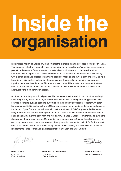# **Inside the organisation**

It is amidst a rapidly-changing environment that the strategic planning process took place this year. This process – which will hopefully result in the adoption of ILGA-Europe's new five-year strategic plan at the Zagreb conference – rested on extensive contributions from the board, staff and members over an eight-month period. The board and staff allocated time and space to meeting with external allies and experts, to analyzing progress made on the current plan and to giving input towards an initial draft. A highlight of the process was the consultation meeting that brought together members, board and staff in Athens in early June. This resulted in a new draft that was sent to the whole membership for further consultation over the summer, and the final draft for approval by the membership in Zagreb.

Another important organisational process this year again was the work to secure future funding to meet the growing needs of the organisation. This has entailed not only exploring possible new sources of funding but also securing current ones, including by advocating, together with other European equality NGOs, for a strong EU financial programme on fundamental rights and equality for the next 7-year financial period. In relation to the staff team, ILGA-Europe recruited two new Programmes Officers (Boris Balanețkii-Schlütter and Valeria Santostefano, after the departure of Faika el-Nagashi) over the past year, and hired a new Finance Manager (Tom Donley) following the departure of the previous Finance Manager (Olimpia Ciripoiu-Vonica). While ILGA-Europe can rely on strong internal resources at the moment, the organisation has started to look for further ways to ensure that it continues to have the capacity to meet the increasing administrative and financial requirements linked to managing a professional organisation like ILGA-Europe.

9. Calleja

Co-chair Executive Board

 $\rightarrow$ 

**Gabi Calleja Martin K.I. Christensen Evelyne Paradis** Co-chair Executive Board

tand)

Executive Director